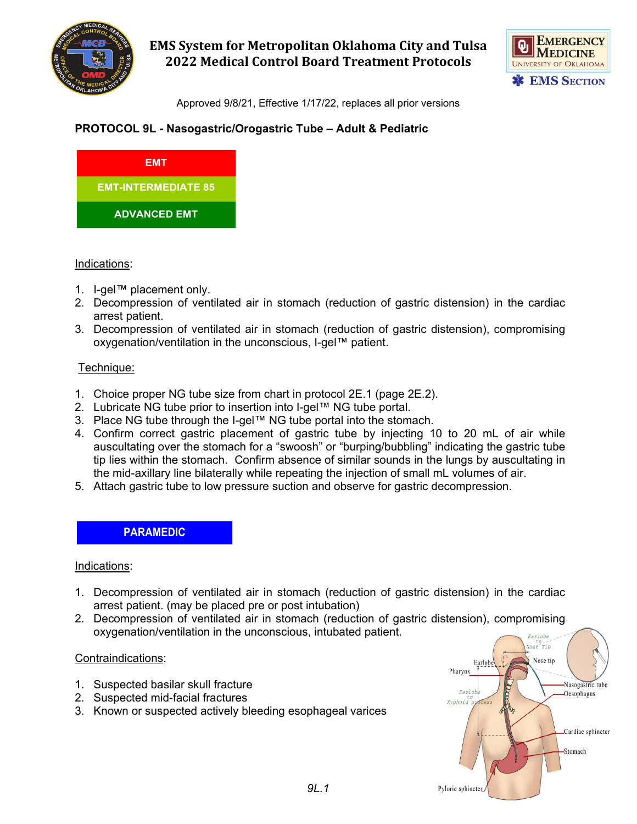

**EMS System for Metropolitan Oklahoma City and Tulsa 2022 Medical Control Board Treatment Protocols**



Approved 9/8/21, Effective 1/17/22, replaces all prior versions

## **PROTOCOL 9L - Nasogastric/Orogastric Tube – Adult & Pediatric**



#### Indications:

- 1. I-gel™ placement only.
- 2. Decompression of ventilated air in stomach (reduction of gastric distension) in the cardiac arrest patient.
- 3. Decompression of ventilated air in stomach (reduction of gastric distension), compromising oxygenation/ventilation in the unconscious, I-gel™ patient.

#### Technique:

- 1. Choice proper NG tube size from chart in protocol 2E.1 (page 2E.2).
- 2. Lubricate NG tube prior to insertion into I-gel™ NG tube portal.
- 3. Place NG tube through the I-gel™ NG tube portal into the stomach.
- 4. Confirm correct gastric placement of gastric tube by injecting 10 to 20 mL of air while auscultating over the stomach for a "swoosh" or "burping/bubbling" indicating the gastric tube tip lies within the stomach. Confirm absence of similar sounds in the lungs by auscultating in the mid-axillary line bilaterally while repeating the injection of small mL volumes of air.
- 5. Attach gastric tube to low pressure suction and observe for gastric decompression.

## **PARAMEDIC**

#### Indications:

- 1. Decompression of ventilated air in stomach (reduction of gastric distension) in the cardiac arrest patient. (may be placed pre or post intubation)
- 2. Decompression of ventilated air in stomach (reduction of gastric distension), compromising oxygenation/ventilation in the unconscious, intubated patient. Earlobe

#### Contraindications:

- 1. Suspected basilar skull fracture
- 2. Suspected mid-facial fractures
- 3. Known or suspected actively bleeding esophageal varices